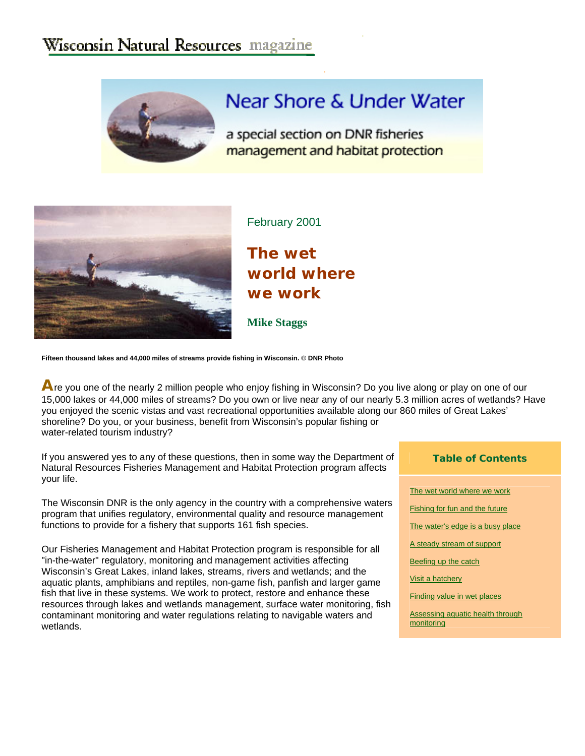## Wisconsin Natural Resources magazine



# Near Shore & Under Water

a special section on DNR fisheries management and habitat protection



February 2001

**The wet world where we work** 

**Mike Staggs** 

**Fifteen thousand lakes and 44,000 miles of streams provide fishing in Wisconsin. © DNR Photo** 

**A**re you one of the nearly 2 million people who enjoy fishing in Wisconsin? Do you live along or play on one of our 15,000 lakes or 44,000 miles of streams? Do you own or live near any of our nearly 5.3 million acres of wetlands? Have you enjoyed the scenic vistas and vast recreational opportunities available along our 860 miles of Great Lakes' shoreline? Do you, or your business, benefit from Wisconsin's popular fishing or water-related tourism industry?

If you answered yes to any of these questions, then in some way the Department of Natural Resources Fisheries Management and Habitat Protection program affects your life.

The Wisconsin DNR is the only agency in the country with a comprehensive waters program that unifies regulatory, environmental quality and resource management functions to provide for a fishery that supports 161 fish species.

Our Fisheries Management and Habitat Protection program is responsible for all "in-the-water" regulatory, monitoring and management activities affecting Wisconsin's Great Lakes, inland lakes, streams, rivers and wetlands; and the aquatic plants, amphibians and reptiles, non-game fish, panfish and larger game fish that live in these systems. We work to protect, restore and enhance these resources through lakes and wetlands management, surface water monitoring, fish contaminant monitoring and water regulations relating to navigable waters and wetlands.

| <b>Table of Contents</b> |  |  |  |
|--------------------------|--|--|--|
|--------------------------|--|--|--|

|  | The wet world where we work |  |
|--|-----------------------------|--|
|  |                             |  |

- Fishing for fun and the future
- The water's edge is a busy place

A steady stream of support

Beefing up the catch

Visit a hatchery

Finding value in wet places

Assessing aquatic health through **monitoring**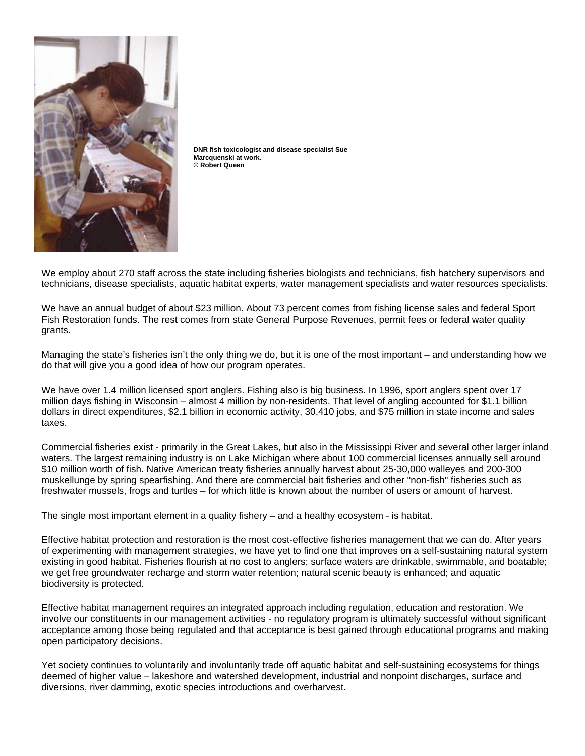

**DNR fish toxicologist and disease specialist Sue Marcquenski at work. © Robert Queen** 

We employ about 270 staff across the state including fisheries biologists and technicians, fish hatchery supervisors and technicians, disease specialists, aquatic habitat experts, water management specialists and water resources specialists.

We have an annual budget of about \$23 million. About 73 percent comes from fishing license sales and federal Sport Fish Restoration funds. The rest comes from state General Purpose Revenues, permit fees or federal water quality grants.

Managing the state's fisheries isn't the only thing we do, but it is one of the most important – and understanding how we do that will give you a good idea of how our program operates.

We have over 1.4 million licensed sport anglers. Fishing also is big business. In 1996, sport anglers spent over 17 million days fishing in Wisconsin – almost 4 million by non-residents. That level of angling accounted for \$1.1 billion dollars in direct expenditures, \$2.1 billion in economic activity, 30,410 jobs, and \$75 million in state income and sales taxes.

Commercial fisheries exist - primarily in the Great Lakes, but also in the Mississippi River and several other larger inland waters. The largest remaining industry is on Lake Michigan where about 100 commercial licenses annually sell around \$10 million worth of fish. Native American treaty fisheries annually harvest about 25-30,000 walleyes and 200-300 muskellunge by spring spearfishing. And there are commercial bait fisheries and other "non-fish" fisheries such as freshwater mussels, frogs and turtles – for which little is known about the number of users or amount of harvest.

The single most important element in a quality fishery – and a healthy ecosystem - is habitat.

Effective habitat protection and restoration is the most cost-effective fisheries management that we can do. After years of experimenting with management strategies, we have yet to find one that improves on a self-sustaining natural system existing in good habitat. Fisheries flourish at no cost to anglers; surface waters are drinkable, swimmable, and boatable; we get free groundwater recharge and storm water retention; natural scenic beauty is enhanced; and aquatic biodiversity is protected.

Effective habitat management requires an integrated approach including regulation, education and restoration. We involve our constituents in our management activities - no regulatory program is ultimately successful without significant acceptance among those being regulated and that acceptance is best gained through educational programs and making open participatory decisions.

Yet society continues to voluntarily and involuntarily trade off aquatic habitat and self-sustaining ecosystems for things deemed of higher value – lakeshore and watershed development, industrial and nonpoint discharges, surface and diversions, river damming, exotic species introductions and overharvest.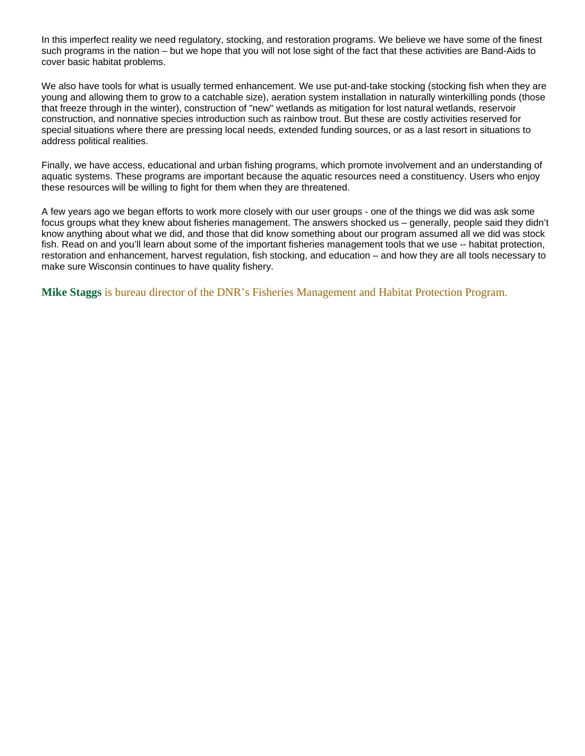In this imperfect reality we need regulatory, stocking, and restoration programs. We believe we have some of the finest such programs in the nation – but we hope that you will not lose sight of the fact that these activities are Band-Aids to cover basic habitat problems.

We also have tools for what is usually termed enhancement. We use put-and-take stocking (stocking fish when they are young and allowing them to grow to a catchable size), aeration system installation in naturally winterkilling ponds (those that freeze through in the winter), construction of "new" wetlands as mitigation for lost natural wetlands, reservoir construction, and nonnative species introduction such as rainbow trout. But these are costly activities reserved for special situations where there are pressing local needs, extended funding sources, or as a last resort in situations to address political realities.

Finally, we have access, educational and urban fishing programs, which promote involvement and an understanding of aquatic systems. These programs are important because the aquatic resources need a constituency. Users who enjoy these resources will be willing to fight for them when they are threatened.

A few years ago we began efforts to work more closely with our user groups - one of the things we did was ask some focus groups what they knew about fisheries management. The answers shocked us – generally, people said they didn't know anything about what we did, and those that did know something about our program assumed all we did was stock fish. Read on and you'll learn about some of the important fisheries management tools that we use -- habitat protection, restoration and enhancement, harvest regulation, fish stocking, and education – and how they are all tools necessary to make sure Wisconsin continues to have quality fishery.

**Mike Staggs** is bureau director of the DNR's Fisheries Management and Habitat Protection Program.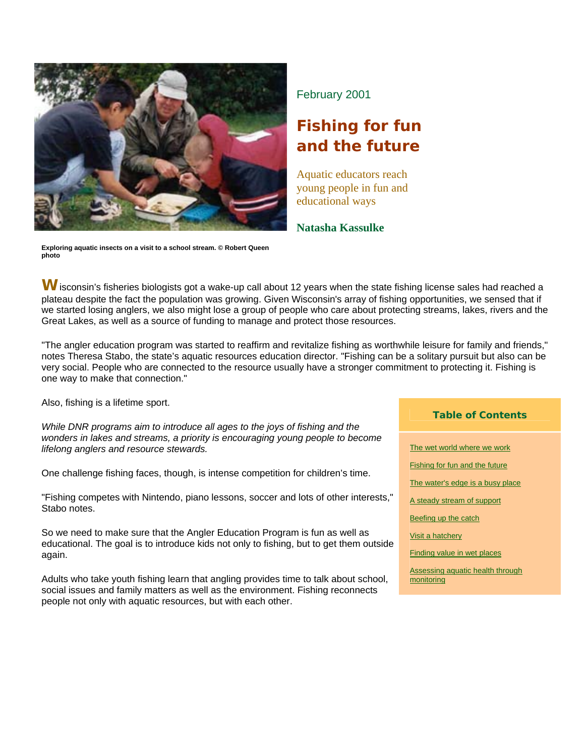

**Exploring aquatic insects on a visit to a school stream. © Robert Queen photo** 

February 2001

# **Fishing for fun and the future**

Aquatic educators reach young people in fun and educational ways

**Natasha Kassulke** 

W isconsin's fisheries biologists got a wake-up call about 12 years when the state fishing license sales had reached a plateau despite the fact the population was growing. Given Wisconsin's array of fishing opportunities, we sensed that if we started losing anglers, we also might lose a group of people who care about protecting streams, lakes, rivers and the Great Lakes, as well as a source of funding to manage and protect those resources.

"The angler education program was started to reaffirm and revitalize fishing as worthwhile leisure for family and friends," notes Theresa Stabo, the state's aquatic resources education director. "Fishing can be a solitary pursuit but also can be very social. People who are connected to the resource usually have a stronger commitment to protecting it. Fishing is one way to make that connection."

Also, fishing is a lifetime sport.

*While DNR programs aim to introduce all ages to the joys of fishing and the wonders in lakes and streams, a priority is encouraging young people to become lifelong anglers and resource stewards.* 

One challenge fishing faces, though, is intense competition for children's time.

"Fishing competes with Nintendo, piano lessons, soccer and lots of other interests," Stabo notes.

So we need to make sure that the Angler Education Program is fun as well as educational. The goal is to introduce kids not only to fishing, but to get them outside again.

Adults who take youth fishing learn that angling provides time to talk about school, social issues and family matters as well as the environment. Fishing reconnects people not only with aquatic resources, but with each other.

#### **Table of Contents**

The wet world where we work

Fishing for fun and the future

The water's edge is a busy place

A steady stream of support

Beefing up the catch

Visit a hatchery

Finding value in wet places

Assessing aquatic health through monitoring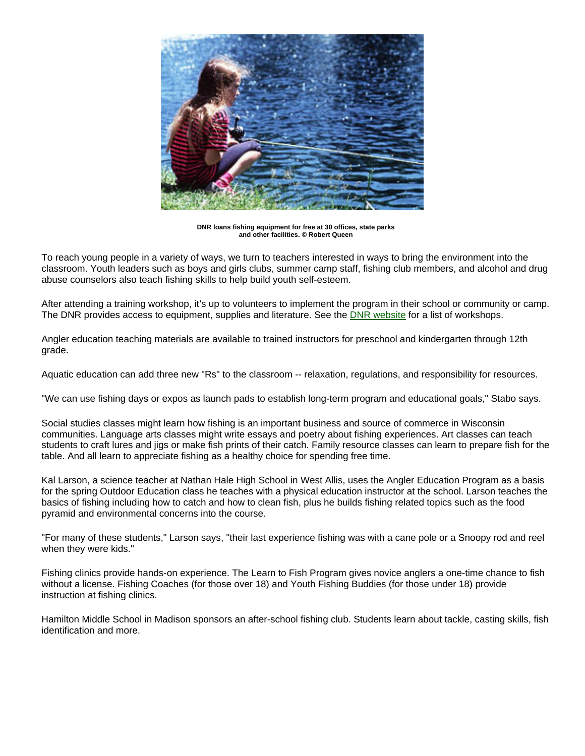

**DNR loans fishing equipment for free at 30 offices, state parks and other facilities. © Robert Queen** 

To reach young people in a variety of ways, we turn to teachers interested in ways to bring the environment into the classroom. Youth leaders such as boys and girls clubs, summer camp staff, fishing club members, and alcohol and drug abuse counselors also teach fishing skills to help build youth self-esteem.

After attending a training workshop, it's up to volunteers to implement the program in their school or community or camp. The DNR provides access to equipment, supplies and literature. See the DNR website for a list of workshops.

Angler education teaching materials are available to trained instructors for preschool and kindergarten through 12th grade.

Aquatic education can add three new "Rs" to the classroom -- relaxation, regulations, and responsibility for resources.

"We can use fishing days or expos as launch pads to establish long-term program and educational goals," Stabo says.

Social studies classes might learn how fishing is an important business and source of commerce in Wisconsin communities. Language arts classes might write essays and poetry about fishing experiences. Art classes can teach students to craft lures and jigs or make fish prints of their catch. Family resource classes can learn to prepare fish for the table. And all learn to appreciate fishing as a healthy choice for spending free time.

Kal Larson, a science teacher at Nathan Hale High School in West Allis, uses the Angler Education Program as a basis for the spring Outdoor Education class he teaches with a physical education instructor at the school. Larson teaches the basics of fishing including how to catch and how to clean fish, plus he builds fishing related topics such as the food pyramid and environmental concerns into the course.

"For many of these students," Larson says, "their last experience fishing was with a cane pole or a Snoopy rod and reel when they were kids."

Fishing clinics provide hands-on experience. The Learn to Fish Program gives novice anglers a one-time chance to fish without a license. Fishing Coaches (for those over 18) and Youth Fishing Buddies (for those under 18) provide instruction at fishing clinics.

Hamilton Middle School in Madison sponsors an after-school fishing club. Students learn about tackle, casting skills, fish identification and more.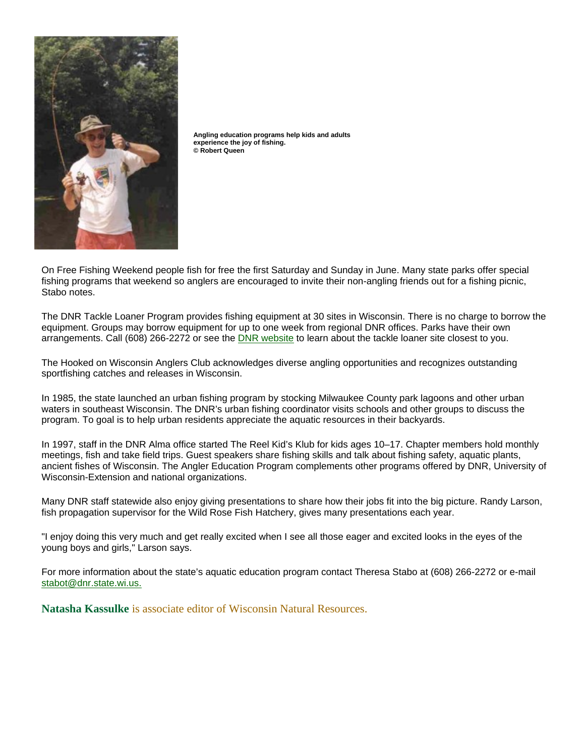

**Angling education programs help kids and adults experience the joy of fishing. © Robert Queen** 

On Free Fishing Weekend people fish for free the first Saturday and Sunday in June. Many state parks offer special fishing programs that weekend so anglers are encouraged to invite their non-angling friends out for a fishing picnic, Stabo notes.

The DNR Tackle Loaner Program provides fishing equipment at 30 sites in Wisconsin. There is no charge to borrow the equipment. Groups may borrow equipment for up to one week from regional DNR offices. Parks have their own arrangements. Call (608) 266-2272 or see the DNR website to learn about the tackle loaner site closest to you.

The Hooked on Wisconsin Anglers Club acknowledges diverse angling opportunities and recognizes outstanding sportfishing catches and releases in Wisconsin.

In 1985, the state launched an urban fishing program by stocking Milwaukee County park lagoons and other urban waters in southeast Wisconsin. The DNR's urban fishing coordinator visits schools and other groups to discuss the program. To goal is to help urban residents appreciate the aquatic resources in their backyards.

In 1997, staff in the DNR Alma office started The Reel Kid's Klub for kids ages 10–17. Chapter members hold monthly meetings, fish and take field trips. Guest speakers share fishing skills and talk about fishing safety, aquatic plants, ancient fishes of Wisconsin. The Angler Education Program complements other programs offered by DNR, University of Wisconsin-Extension and national organizations.

Many DNR staff statewide also enjoy giving presentations to share how their jobs fit into the big picture. Randy Larson, fish propagation supervisor for the Wild Rose Fish Hatchery, gives many presentations each year.

"I enjoy doing this very much and get really excited when I see all those eager and excited looks in the eyes of the young boys and girls," Larson says.

For more information about the state's aquatic education program contact Theresa Stabo at (608) 266-2272 or e-mail stabot@dnr.state.wi.us.

**Natasha Kassulke** is associate editor of Wisconsin Natural Resources.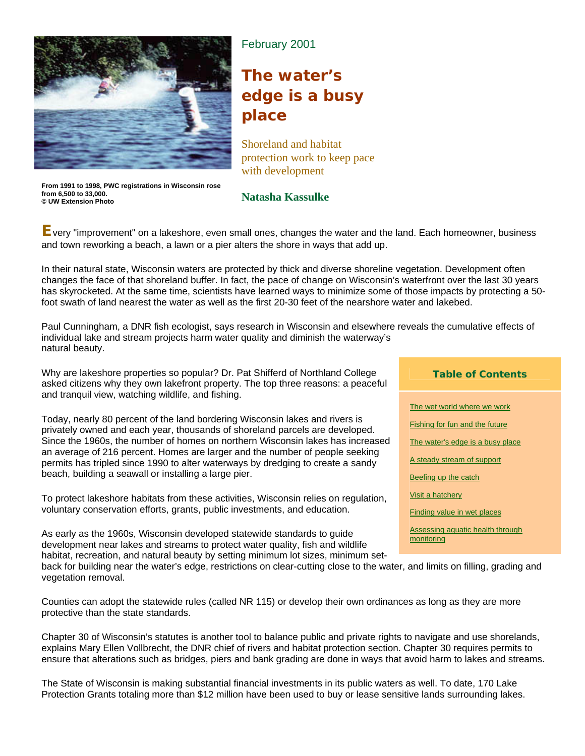

## February 2001

# **The water's edge is a busy place**

Shoreland and habitat protection work to keep pace with development

**From 1991 to 1998, PWC registrations in Wisconsin rose from 6,500 to 33,000. © UW Extension Photo** 

### **Natasha Kassulke**

**E**very "improvement" on a lakeshore, even small ones, changes the water and the land. Each homeowner, business and town reworking a beach, a lawn or a pier alters the shore in ways that add up.

In their natural state, Wisconsin waters are protected by thick and diverse shoreline vegetation. Development often changes the face of that shoreland buffer. In fact, the pace of change on Wisconsin's waterfront over the last 30 years has skyrocketed. At the same time, scientists have learned ways to minimize some of those impacts by protecting a 50 foot swath of land nearest the water as well as the first 20-30 feet of the nearshore water and lakebed.

Paul Cunningham, a DNR fish ecologist, says research in Wisconsin and elsewhere reveals the cumulative effects of individual lake and stream projects harm water quality and diminish the waterway's natural beauty.

Why are lakeshore properties so popular? Dr. Pat Shifferd of Northland College asked citizens why they own lakefront property. The top three reasons: a peaceful and tranquil view, watching wildlife, and fishing.

Today, nearly 80 percent of the land bordering Wisconsin lakes and rivers is privately owned and each year, thousands of shoreland parcels are developed. Since the 1960s, the number of homes on northern Wisconsin lakes has increased an average of 216 percent. Homes are larger and the number of people seeking permits has tripled since 1990 to alter waterways by dredging to create a sandy beach, building a seawall or installing a large pier.

To protect lakeshore habitats from these activities, Wisconsin relies on regulation, voluntary conservation efforts, grants, public investments, and education.

As early as the 1960s, Wisconsin developed statewide standards to guide development near lakes and streams to protect water quality, fish and wildlife habitat, recreation, and natural beauty by setting minimum lot sizes, minimum set-

#### **Table of Contents**

The wet world where we work **Fishing for fun and the future** The water's edge is a busy place A steady stream of support Beefing up the catch Visit a hatchery Finding value in wet places Assessing aquatic health through monitoring

back for building near the water's edge, restrictions on clear-cutting close to the water, and limits on filling, grading and vegetation removal.

Counties can adopt the statewide rules (called NR 115) or develop their own ordinances as long as they are more protective than the state standards.

Chapter 30 of Wisconsin's statutes is another tool to balance public and private rights to navigate and use shorelands, explains Mary Ellen Vollbrecht, the DNR chief of rivers and habitat protection section. Chapter 30 requires permits to ensure that alterations such as bridges, piers and bank grading are done in ways that avoid harm to lakes and streams.

The State of Wisconsin is making substantial financial investments in its public waters as well. To date, 170 Lake Protection Grants totaling more than \$12 million have been used to buy or lease sensitive lands surrounding lakes.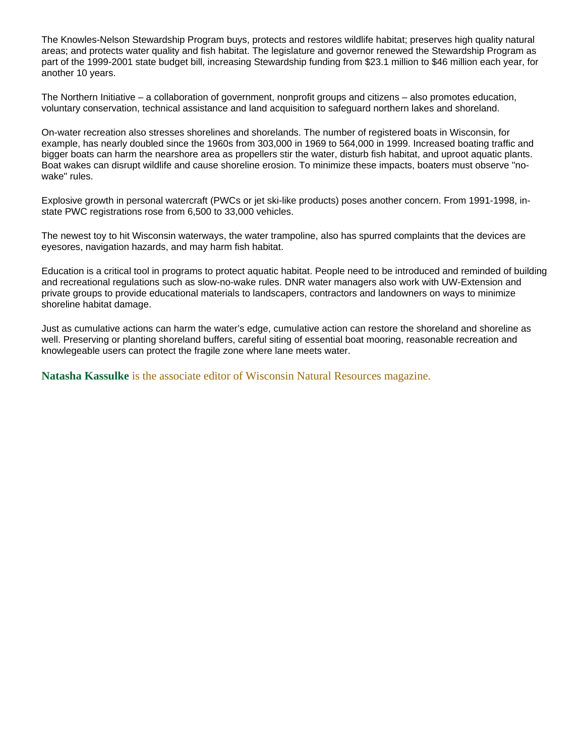The Knowles-Nelson Stewardship Program buys, protects and restores wildlife habitat; preserves high quality natural areas; and protects water quality and fish habitat. The legislature and governor renewed the Stewardship Program as part of the 1999-2001 state budget bill, increasing Stewardship funding from \$23.1 million to \$46 million each year, for another 10 years.

The Northern Initiative – a collaboration of government, nonprofit groups and citizens – also promotes education, voluntary conservation, technical assistance and land acquisition to safeguard northern lakes and shoreland.

On-water recreation also stresses shorelines and shorelands. The number of registered boats in Wisconsin, for example, has nearly doubled since the 1960s from 303,000 in 1969 to 564,000 in 1999. Increased boating traffic and bigger boats can harm the nearshore area as propellers stir the water, disturb fish habitat, and uproot aquatic plants. Boat wakes can disrupt wildlife and cause shoreline erosion. To minimize these impacts, boaters must observe "nowake" rules.

Explosive growth in personal watercraft (PWCs or jet ski-like products) poses another concern. From 1991-1998, instate PWC registrations rose from 6,500 to 33,000 vehicles.

The newest toy to hit Wisconsin waterways, the water trampoline, also has spurred complaints that the devices are eyesores, navigation hazards, and may harm fish habitat.

Education is a critical tool in programs to protect aquatic habitat. People need to be introduced and reminded of building and recreational regulations such as slow-no-wake rules. DNR water managers also work with UW-Extension and private groups to provide educational materials to landscapers, contractors and landowners on ways to minimize shoreline habitat damage.

Just as cumulative actions can harm the water's edge, cumulative action can restore the shoreland and shoreline as well. Preserving or planting shoreland buffers, careful siting of essential boat mooring, reasonable recreation and knowlegeable users can protect the fragile zone where lane meets water.

**Natasha Kassulke** is the associate editor of Wisconsin Natural Resources magazine.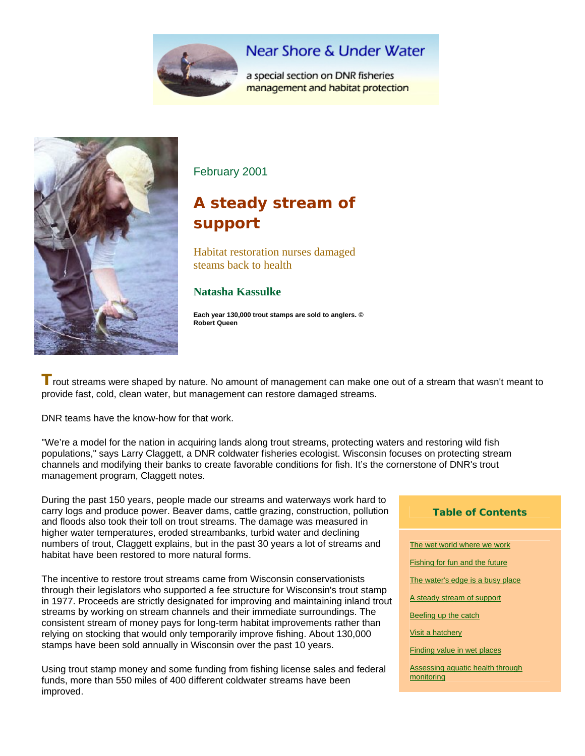

## **Near Shore & Under Water**

a special section on DNR fisheries management and habitat protection



February 2001

# **A steady stream of support**

Habitat restoration nurses damaged steams back to health

### **Natasha Kassulke**

**Each year 130,000 trout stamps are sold to anglers. © Robert Queen** 

**T** rout streams were shaped by nature. No amount of management can make one out of a stream that wasn't meant to provide fast, cold, clean water, but management can restore damaged streams.

DNR teams have the know-how for that work.

"We're a model for the nation in acquiring lands along trout streams, protecting waters and restoring wild fish populations," says Larry Claggett, a DNR coldwater fisheries ecologist. Wisconsin focuses on protecting stream channels and modifying their banks to create favorable conditions for fish. It's the cornerstone of DNR's trout management program, Claggett notes.

During the past 150 years, people made our streams and waterways work hard to carry logs and produce power. Beaver dams, cattle grazing, construction, pollution and floods also took their toll on trout streams. The damage was measured in higher water temperatures, eroded streambanks, turbid water and declining numbers of trout, Claggett explains, but in the past 30 years a lot of streams and habitat have been restored to more natural forms.

The incentive to restore trout streams came from Wisconsin conservationists through their legislators who supported a fee structure for Wisconsin's trout stamp in 1977. Proceeds are strictly designated for improving and maintaining inland trout streams by working on stream channels and their immediate surroundings. The consistent stream of money pays for long-term habitat improvements rather than relying on stocking that would only temporarily improve fishing. About 130,000 stamps have been sold annually in Wisconsin over the past 10 years.

Using trout stamp money and some funding from fishing license sales and federal funds, more than 550 miles of 400 different coldwater streams have been improved.

# **Table of Contents**  The wet world where we work **Fishing for fun and the future** The water's edge is a busy place A steady stream of support

Beefing up the catch

Visit a hatchery

Finding value in wet places

Assessing aquatic health through monitoring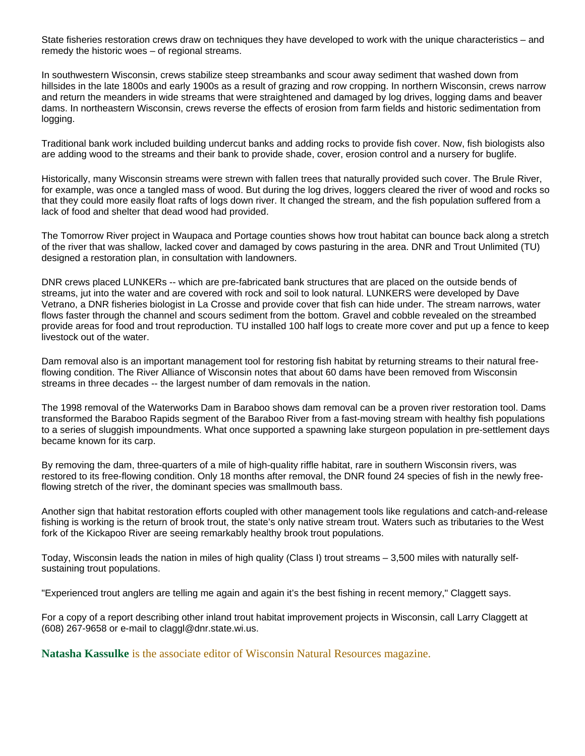State fisheries restoration crews draw on techniques they have developed to work with the unique characteristics – and remedy the historic woes – of regional streams.

In southwestern Wisconsin, crews stabilize steep streambanks and scour away sediment that washed down from hillsides in the late 1800s and early 1900s as a result of grazing and row cropping. In northern Wisconsin, crews narrow and return the meanders in wide streams that were straightened and damaged by log drives, logging dams and beaver dams. In northeastern Wisconsin, crews reverse the effects of erosion from farm fields and historic sedimentation from logging.

Traditional bank work included building undercut banks and adding rocks to provide fish cover. Now, fish biologists also are adding wood to the streams and their bank to provide shade, cover, erosion control and a nursery for buglife.

Historically, many Wisconsin streams were strewn with fallen trees that naturally provided such cover. The Brule River, for example, was once a tangled mass of wood. But during the log drives, loggers cleared the river of wood and rocks so that they could more easily float rafts of logs down river. It changed the stream, and the fish population suffered from a lack of food and shelter that dead wood had provided.

The Tomorrow River project in Waupaca and Portage counties shows how trout habitat can bounce back along a stretch of the river that was shallow, lacked cover and damaged by cows pasturing in the area. DNR and Trout Unlimited (TU) designed a restoration plan, in consultation with landowners.

DNR crews placed LUNKERs -- which are pre-fabricated bank structures that are placed on the outside bends of streams, jut into the water and are covered with rock and soil to look natural. LUNKERS were developed by Dave Vetrano, a DNR fisheries biologist in La Crosse and provide cover that fish can hide under. The stream narrows, water flows faster through the channel and scours sediment from the bottom. Gravel and cobble revealed on the streambed provide areas for food and trout reproduction. TU installed 100 half logs to create more cover and put up a fence to keep livestock out of the water.

Dam removal also is an important management tool for restoring fish habitat by returning streams to their natural freeflowing condition. The River Alliance of Wisconsin notes that about 60 dams have been removed from Wisconsin streams in three decades -- the largest number of dam removals in the nation.

The 1998 removal of the Waterworks Dam in Baraboo shows dam removal can be a proven river restoration tool. Dams transformed the Baraboo Rapids segment of the Baraboo River from a fast-moving stream with healthy fish populations to a series of sluggish impoundments. What once supported a spawning lake sturgeon population in pre-settlement days became known for its carp.

By removing the dam, three-quarters of a mile of high-quality riffle habitat, rare in southern Wisconsin rivers, was restored to its free-flowing condition. Only 18 months after removal, the DNR found 24 species of fish in the newly freeflowing stretch of the river, the dominant species was smallmouth bass.

Another sign that habitat restoration efforts coupled with other management tools like regulations and catch-and-release fishing is working is the return of brook trout, the state's only native stream trout. Waters such as tributaries to the West fork of the Kickapoo River are seeing remarkably healthy brook trout populations.

Today, Wisconsin leads the nation in miles of high quality (Class I) trout streams – 3,500 miles with naturally selfsustaining trout populations.

"Experienced trout anglers are telling me again and again it's the best fishing in recent memory," Claggett says.

For a copy of a report describing other inland trout habitat improvement projects in Wisconsin, call Larry Claggett at (608) 267-9658 or e-mail to claggl@dnr.state.wi.us.

**Natasha Kassulke** is the associate editor of Wisconsin Natural Resources magazine.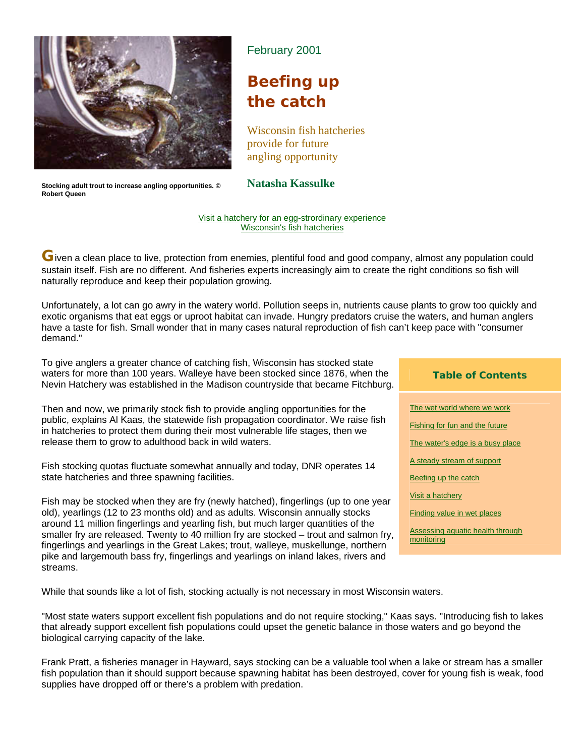

**Stocking adult trout to increase angling opportunities. © Robert Queen** 

### February 2001

## **Beefing up the catch**

Wisconsin fish hatcheries provide for future angling opportunity

**Natasha Kassulke** 

#### Visit a hatchery for an egg-strordinary experience Wisconsin's fish hatcheries

**G**iven a clean place to live, protection from enemies, plentiful food and good company, almost any population could sustain itself. Fish are no different. And fisheries experts increasingly aim to create the right conditions so fish will naturally reproduce and keep their population growing.

Unfortunately, a lot can go awry in the watery world. Pollution seeps in, nutrients cause plants to grow too quickly and exotic organisms that eat eggs or uproot habitat can invade. Hungry predators cruise the waters, and human anglers have a taste for fish. Small wonder that in many cases natural reproduction of fish can't keep pace with "consumer demand."

To give anglers a greater chance of catching fish, Wisconsin has stocked state waters for more than 100 years. Walleye have been stocked since 1876, when the Nevin Hatchery was established in the Madison countryside that became Fitchburg.

Then and now, we primarily stock fish to provide angling opportunities for the public, explains Al Kaas, the statewide fish propagation coordinator. We raise fish in hatcheries to protect them during their most vulnerable life stages, then we release them to grow to adulthood back in wild waters.

Fish stocking quotas fluctuate somewhat annually and today, DNR operates 14 state hatcheries and three spawning facilities.

Fish may be stocked when they are fry (newly hatched), fingerlings (up to one year old), yearlings (12 to 23 months old) and as adults. Wisconsin annually stocks around 11 million fingerlings and yearling fish, but much larger quantities of the smaller fry are released. Twenty to 40 million fry are stocked – trout and salmon fry, fingerlings and yearlings in the Great Lakes; trout, walleye, muskellunge, northern pike and largemouth bass fry, fingerlings and yearlings on inland lakes, rivers and streams.

While that sounds like a lot of fish, stocking actually is not necessary in most Wisconsin waters.

"Most state waters support excellent fish populations and do not require stocking," Kaas says. "Introducing fish to lakes that already support excellent fish populations could upset the genetic balance in those waters and go beyond the biological carrying capacity of the lake.

Frank Pratt, a fisheries manager in Hayward, says stocking can be a valuable tool when a lake or stream has a smaller fish population than it should support because spawning habitat has been destroyed, cover for young fish is weak, food supplies have dropped off or there's a problem with predation.

#### **Table of Contents**

The wet world where we work Fishing for fun and the future The water's edge is a busy place A steady stream of support Beefing up the catch Visit a hatchery Finding value in wet places Assessing aquatic health through monitoring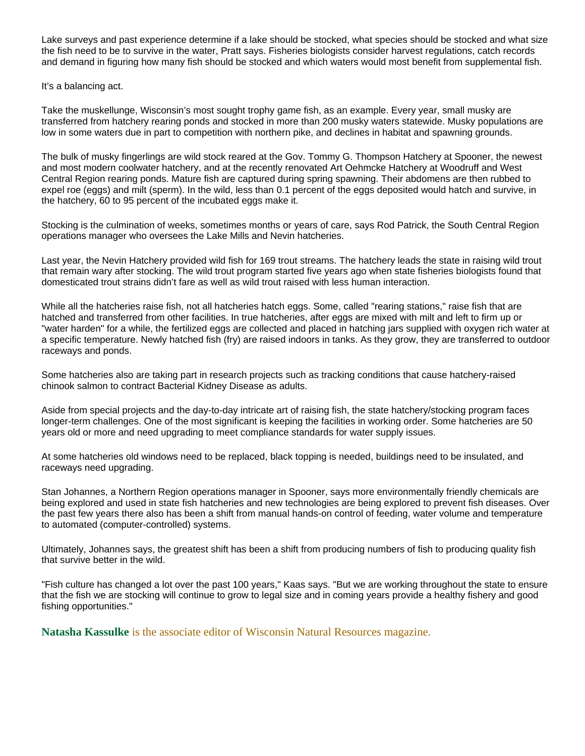Lake surveys and past experience determine if a lake should be stocked, what species should be stocked and what size the fish need to be to survive in the water, Pratt says. Fisheries biologists consider harvest regulations, catch records and demand in figuring how many fish should be stocked and which waters would most benefit from supplemental fish.

It's a balancing act.

Take the muskellunge, Wisconsin's most sought trophy game fish, as an example. Every year, small musky are transferred from hatchery rearing ponds and stocked in more than 200 musky waters statewide. Musky populations are low in some waters due in part to competition with northern pike, and declines in habitat and spawning grounds.

The bulk of musky fingerlings are wild stock reared at the Gov. Tommy G. Thompson Hatchery at Spooner, the newest and most modern coolwater hatchery, and at the recently renovated Art Oehmcke Hatchery at Woodruff and West Central Region rearing ponds. Mature fish are captured during spring spawning. Their abdomens are then rubbed to expel roe (eggs) and milt (sperm). In the wild, less than 0.1 percent of the eggs deposited would hatch and survive, in the hatchery, 60 to 95 percent of the incubated eggs make it.

Stocking is the culmination of weeks, sometimes months or years of care, says Rod Patrick, the South Central Region operations manager who oversees the Lake Mills and Nevin hatcheries.

Last year, the Nevin Hatchery provided wild fish for 169 trout streams. The hatchery leads the state in raising wild trout that remain wary after stocking. The wild trout program started five years ago when state fisheries biologists found that domesticated trout strains didn't fare as well as wild trout raised with less human interaction.

While all the hatcheries raise fish, not all hatcheries hatch eggs. Some, called "rearing stations," raise fish that are hatched and transferred from other facilities. In true hatcheries, after eggs are mixed with milt and left to firm up or "water harden" for a while, the fertilized eggs are collected and placed in hatching jars supplied with oxygen rich water at a specific temperature. Newly hatched fish (fry) are raised indoors in tanks. As they grow, they are transferred to outdoor raceways and ponds.

Some hatcheries also are taking part in research projects such as tracking conditions that cause hatchery-raised chinook salmon to contract Bacterial Kidney Disease as adults.

Aside from special projects and the day-to-day intricate art of raising fish, the state hatchery/stocking program faces longer-term challenges. One of the most significant is keeping the facilities in working order. Some hatcheries are 50 years old or more and need upgrading to meet compliance standards for water supply issues.

At some hatcheries old windows need to be replaced, black topping is needed, buildings need to be insulated, and raceways need upgrading.

Stan Johannes, a Northern Region operations manager in Spooner, says more environmentally friendly chemicals are being explored and used in state fish hatcheries and new technologies are being explored to prevent fish diseases. Over the past few years there also has been a shift from manual hands-on control of feeding, water volume and temperature to automated (computer-controlled) systems.

Ultimately, Johannes says, the greatest shift has been a shift from producing numbers of fish to producing quality fish that survive better in the wild.

"Fish culture has changed a lot over the past 100 years," Kaas says. "But we are working throughout the state to ensure that the fish we are stocking will continue to grow to legal size and in coming years provide a healthy fishery and good fishing opportunities."

**Natasha Kassulke** is the associate editor of Wisconsin Natural Resources magazine.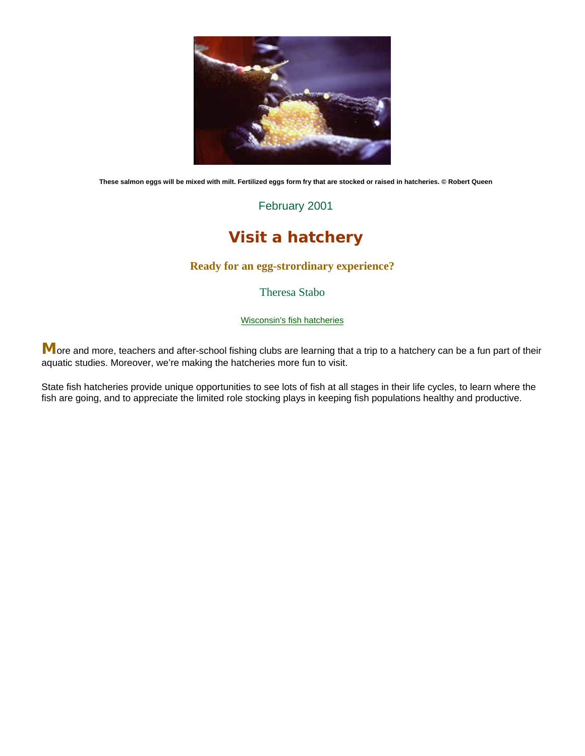

**These salmon eggs will be mixed with milt. Fertilized eggs form fry that are stocked or raised in hatcheries. © Robert Queen** 

February 2001

## **Visit a hatchery**

#### **Ready for an egg-strordinary experience?**

Theresa Stabo

Wisconsin's fish hatcheries

More and more, teachers and after-school fishing clubs are learning that a trip to a hatchery can be a fun part of their aquatic studies. Moreover, we're making the hatcheries more fun to visit.

State fish hatcheries provide unique opportunities to see lots of fish at all stages in their life cycles, to learn where the fish are going, and to appreciate the limited role stocking plays in keeping fish populations healthy and productive.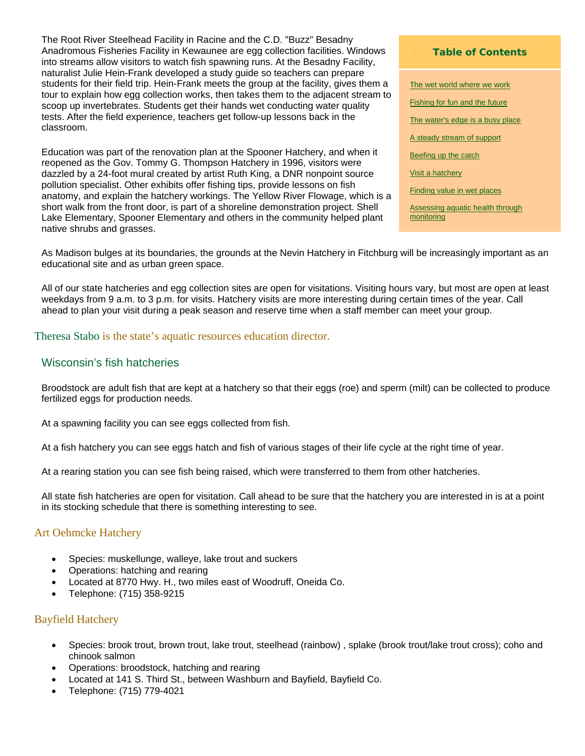The Root River Steelhead Facility in Racine and the C.D. "Buzz" Besadny Anadromous Fisheries Facility in Kewaunee are egg collection facilities. Windows into streams allow visitors to watch fish spawning runs. At the Besadny Facility, naturalist Julie Hein-Frank developed a study guide so teachers can prepare students for their field trip. Hein-Frank meets the group at the facility, gives them a tour to explain how egg collection works, then takes them to the adjacent stream to scoop up invertebrates. Students get their hands wet conducting water quality tests. After the field experience, teachers get follow-up lessons back in the classroom.

Education was part of the renovation plan at the Spooner Hatchery, and when it reopened as the Gov. Tommy G. Thompson Hatchery in 1996, visitors were dazzled by a 24-foot mural created by artist Ruth King, a DNR nonpoint source pollution specialist. Other exhibits offer fishing tips, provide lessons on fish anatomy, and explain the hatchery workings. The Yellow River Flowage, which is a short walk from the front door, is part of a shoreline demonstration project. Shell Lake Elementary, Spooner Elementary and others in the community helped plant native shrubs and grasses.

#### **Table of Contents**

The wet world where we work Fishing for fun and the future The water's edge is a busy place A steady stream of support Beefing up the catch Visit a hatchery Finding value in wet places Assessing aquatic health through monitoring

As Madison bulges at its boundaries, the grounds at the Nevin Hatchery in Fitchburg will be increasingly important as an educational site and as urban green space.

All of our state hatcheries and egg collection sites are open for visitations. Visiting hours vary, but most are open at least weekdays from 9 a.m. to 3 p.m. for visits. Hatchery visits are more interesting during certain times of the year. Call ahead to plan your visit during a peak season and reserve time when a staff member can meet your group.

#### Theresa Stabo is the state's aquatic resources education director.

#### Wisconsin's fish hatcheries

Broodstock are adult fish that are kept at a hatchery so that their eggs (roe) and sperm (milt) can be collected to produce fertilized eggs for production needs.

At a spawning facility you can see eggs collected from fish.

At a fish hatchery you can see eggs hatch and fish of various stages of their life cycle at the right time of year.

At a rearing station you can see fish being raised, which were transferred to them from other hatcheries.

All state fish hatcheries are open for visitation. Call ahead to be sure that the hatchery you are interested in is at a point in its stocking schedule that there is something interesting to see.

#### Art Oehmcke Hatchery

- Species: muskellunge, walleye, lake trout and suckers
- Operations: hatching and rearing
- Located at 8770 Hwy. H., two miles east of Woodruff, Oneida Co.
- Telephone: (715) 358-9215

#### Bayfield Hatchery

- Species: brook trout, brown trout, lake trout, steelhead (rainbow) , splake (brook trout/lake trout cross); coho and chinook salmon
- Operations: broodstock, hatching and rearing
- Located at 141 S. Third St., between Washburn and Bayfield, Bayfield Co.
- Telephone: (715) 779-4021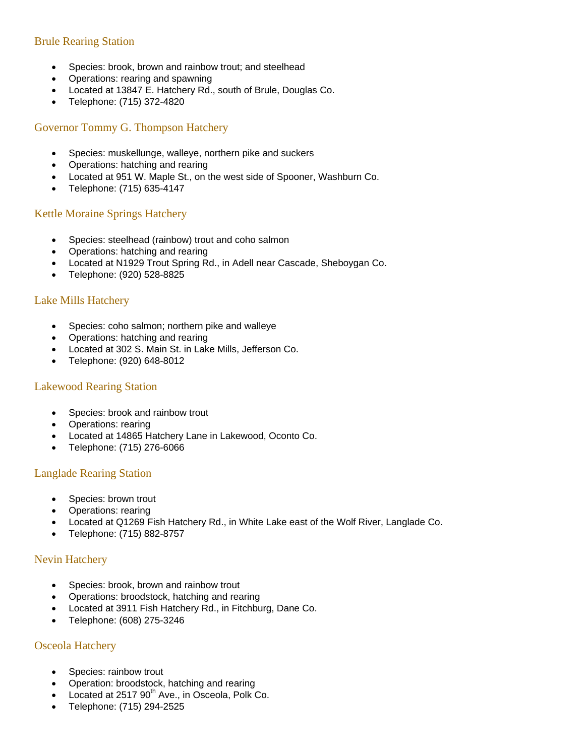### Brule Rearing Station

- Species: brook, brown and rainbow trout; and steelhead
- Operations: rearing and spawning
- Located at 13847 E. Hatchery Rd., south of Brule, Douglas Co.
- Telephone: (715) 372-4820

#### Governor Tommy G. Thompson Hatchery

- Species: muskellunge, walleye, northern pike and suckers
- Operations: hatching and rearing
- Located at 951 W. Maple St., on the west side of Spooner, Washburn Co.
- Telephone: (715) 635-4147

#### Kettle Moraine Springs Hatchery

- Species: steelhead (rainbow) trout and coho salmon
- Operations: hatching and rearing
- Located at N1929 Trout Spring Rd., in Adell near Cascade, Sheboygan Co.
- Telephone: (920) 528-8825

#### Lake Mills Hatchery

- Species: coho salmon; northern pike and walleye
- Operations: hatching and rearing
- Located at 302 S. Main St. in Lake Mills, Jefferson Co.
- Telephone: (920) 648-8012

#### Lakewood Rearing Station

- Species: brook and rainbow trout
- Operations: rearing
- Located at 14865 Hatchery Lane in Lakewood, Oconto Co.
- Telephone: (715) 276-6066

#### Langlade Rearing Station

- Species: brown trout
- Operations: rearing
- Located at Q1269 Fish Hatchery Rd., in White Lake east of the Wolf River, Langlade Co.
- Telephone: (715) 882-8757

#### Nevin Hatchery

- Species: brook, brown and rainbow trout
- Operations: broodstock, hatching and rearing
- Located at 3911 Fish Hatchery Rd., in Fitchburg, Dane Co.
- Telephone: (608) 275-3246

#### Osceola Hatchery

- Species: rainbow trout
- Operation: broodstock, hatching and rearing
- Located at 2517 90<sup>th</sup> Ave., in Osceola, Polk Co.
- Telephone: (715) 294-2525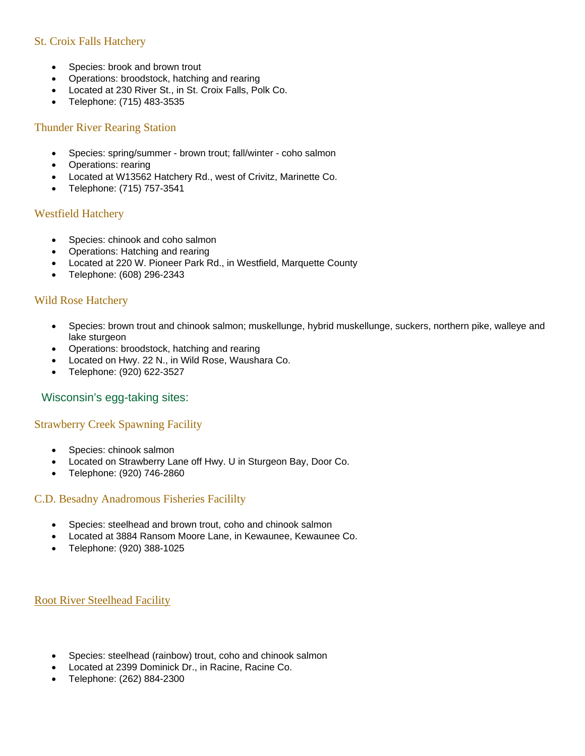### St. Croix Falls Hatchery

- Species: brook and brown trout
- Operations: broodstock, hatching and rearing
- Located at 230 River St., in St. Croix Falls, Polk Co.
- Telephone: (715) 483-3535

#### Thunder River Rearing Station

- Species: spring/summer brown trout; fall/winter coho salmon
- Operations: rearing
- Located at W13562 Hatchery Rd., west of Crivitz, Marinette Co.
- Telephone: (715) 757-3541

#### Westfield Hatchery

- Species: chinook and coho salmon
- Operations: Hatching and rearing
- Located at 220 W. Pioneer Park Rd., in Westfield, Marquette County
- Telephone: (608) 296-2343

#### Wild Rose Hatchery

- Species: brown trout and chinook salmon; muskellunge, hybrid muskellunge, suckers, northern pike, walleye and lake sturgeon
- Operations: broodstock, hatching and rearing
- Located on Hwy. 22 N., in Wild Rose, Waushara Co.
- Telephone: (920) 622-3527

#### Wisconsin's egg-taking sites:

#### Strawberry Creek Spawning Facility

- Species: chinook salmon
- Located on Strawberry Lane off Hwy. U in Sturgeon Bay, Door Co.
- Telephone: (920) 746-2860

#### C.D. Besadny Anadromous Fisheries Facililty

- Species: steelhead and brown trout, coho and chinook salmon
- Located at 3884 Ransom Moore Lane, in Kewaunee, Kewaunee Co.
- Telephone: (920) 388-1025

#### Root River Steelhead Facility

- Species: steelhead (rainbow) trout, coho and chinook salmon
- Located at 2399 Dominick Dr., in Racine, Racine Co.
- Telephone: (262) 884-2300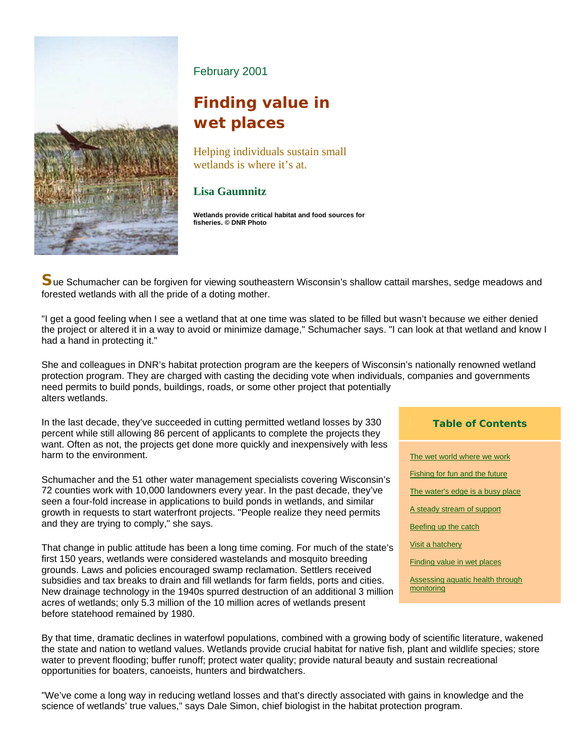

February 2001

# **Finding value in wet places**

Helping individuals sustain small wetlands is where it's at.

## **Lisa Gaumnitz**

**Wetlands provide critical habitat and food sources for fisheries. © DNR Photo** 

**S**ue Schumacher can be forgiven for viewing southeastern Wisconsin's shallow cattail marshes, sedge meadows and forested wetlands with all the pride of a doting mother.

"I get a good feeling when I see a wetland that at one time was slated to be filled but wasn't because we either denied the project or altered it in a way to avoid or minimize damage," Schumacher says. "I can look at that wetland and know I had a hand in protecting it."

She and colleagues in DNR's habitat protection program are the keepers of Wisconsin's nationally renowned wetland protection program. They are charged with casting the deciding vote when individuals, companies and governments need permits to build ponds, buildings, roads, or some other project that potentially alters wetlands.

In the last decade, they've succeeded in cutting permitted wetland losses by 330 percent while still allowing 86 percent of applicants to complete the projects they want. Often as not, the projects get done more quickly and inexpensively with less harm to the environment.

Schumacher and the 51 other water management specialists covering Wisconsin's 72 counties work with 10,000 landowners every year. In the past decade, they've seen a four-fold increase in applications to build ponds in wetlands, and similar growth in requests to start waterfront projects. "People realize they need permits and they are trying to comply," she says.

That change in public attitude has been a long time coming. For much of the state's first 150 years, wetlands were considered wastelands and mosquito breeding grounds. Laws and policies encouraged swamp reclamation. Settlers received subsidies and tax breaks to drain and fill wetlands for farm fields, ports and cities. New drainage technology in the 1940s spurred destruction of an additional 3 million acres of wetlands; only 5.3 million of the 10 million acres of wetlands present before statehood remained by 1980.

#### **Table of Contents**

- The wet world where we work
- Fishing for fun and the future
- The water's edge is a busy place
- A steady stream of support
- Beefing up the catch
- Visit a hatchery
- Finding value in wet places

Assessing aquatic health through monitoring

By that time, dramatic declines in waterfowl populations, combined with a growing body of scientific literature, wakened the state and nation to wetland values. Wetlands provide crucial habitat for native fish, plant and wildlife species; store water to prevent flooding; buffer runoff; protect water quality; provide natural beauty and sustain recreational opportunities for boaters, canoeists, hunters and birdwatchers.

"We've come a long way in reducing wetland losses and that's directly associated with gains in knowledge and the science of wetlands' true values," says Dale Simon, chief biologist in the habitat protection program.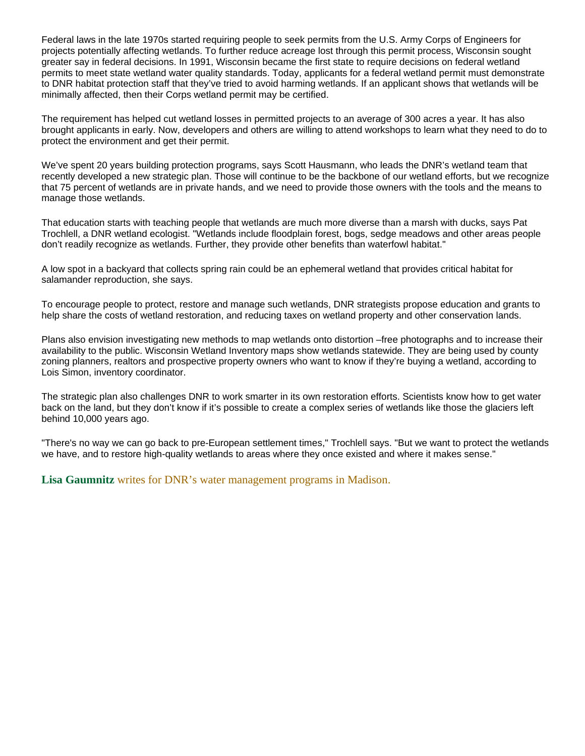Federal laws in the late 1970s started requiring people to seek permits from the U.S. Army Corps of Engineers for projects potentially affecting wetlands. To further reduce acreage lost through this permit process, Wisconsin sought greater say in federal decisions. In 1991, Wisconsin became the first state to require decisions on federal wetland permits to meet state wetland water quality standards. Today, applicants for a federal wetland permit must demonstrate to DNR habitat protection staff that they've tried to avoid harming wetlands. If an applicant shows that wetlands will be minimally affected, then their Corps wetland permit may be certified.

The requirement has helped cut wetland losses in permitted projects to an average of 300 acres a year. It has also brought applicants in early. Now, developers and others are willing to attend workshops to learn what they need to do to protect the environment and get their permit.

We've spent 20 years building protection programs, says Scott Hausmann, who leads the DNR's wetland team that recently developed a new strategic plan. Those will continue to be the backbone of our wetland efforts, but we recognize that 75 percent of wetlands are in private hands, and we need to provide those owners with the tools and the means to manage those wetlands.

That education starts with teaching people that wetlands are much more diverse than a marsh with ducks, says Pat Trochlell, a DNR wetland ecologist. "Wetlands include floodplain forest, bogs, sedge meadows and other areas people don't readily recognize as wetlands. Further, they provide other benefits than waterfowl habitat."

A low spot in a backyard that collects spring rain could be an ephemeral wetland that provides critical habitat for salamander reproduction, she says.

To encourage people to protect, restore and manage such wetlands, DNR strategists propose education and grants to help share the costs of wetland restoration, and reducing taxes on wetland property and other conservation lands.

Plans also envision investigating new methods to map wetlands onto distortion –free photographs and to increase their availability to the public. Wisconsin Wetland Inventory maps show wetlands statewide. They are being used by county zoning planners, realtors and prospective property owners who want to know if they're buying a wetland, according to Lois Simon, inventory coordinator.

The strategic plan also challenges DNR to work smarter in its own restoration efforts. Scientists know how to get water back on the land, but they don't know if it's possible to create a complex series of wetlands like those the glaciers left behind 10,000 years ago.

"There's no way we can go back to pre-European settlement times," Trochlell says. "But we want to protect the wetlands we have, and to restore high-quality wetlands to areas where they once existed and where it makes sense."

**Lisa Gaumnitz** writes for DNR's water management programs in Madison.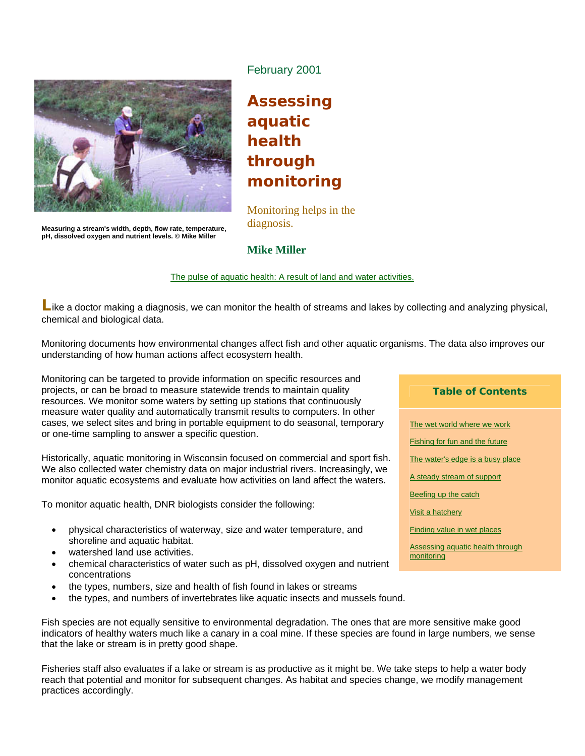

February 2001

# **Assessing aquatic health through monitoring**

Monitoring helps in the diagnosis.

**Measuring a stream's width, depth, flow rate, temperature, pH, dissolved oxygen and nutrient levels. © Mike Miller** 

**Mike Miller** 

The pulse of aquatic health: A result of land and water activities.

Like a doctor making a diagnosis, we can monitor the health of streams and lakes by collecting and analyzing physical, chemical and biological data.

Monitoring documents how environmental changes affect fish and other aquatic organisms. The data also improves our understanding of how human actions affect ecosystem health.

Monitoring can be targeted to provide information on specific resources and projects, or can be broad to measure statewide trends to maintain quality resources. We monitor some waters by setting up stations that continuously measure water quality and automatically transmit results to computers. In other cases, we select sites and bring in portable equipment to do seasonal, temporary or one-time sampling to answer a specific question.

Historically, aquatic monitoring in Wisconsin focused on commercial and sport fish. We also collected water chemistry data on major industrial rivers. Increasingly, we monitor aquatic ecosystems and evaluate how activities on land affect the waters.

To monitor aquatic health, DNR biologists consider the following:

- physical characteristics of waterway, size and water temperature, and shoreline and aquatic habitat.
- watershed land use activities.
- chemical characteristics of water such as pH, dissolved oxygen and nutrient concentrations
- the types, numbers, size and health of fish found in lakes or streams
- the types, and numbers of invertebrates like aquatic insects and mussels found.

Fish species are not equally sensitive to environmental degradation. The ones that are more sensitive make good indicators of healthy waters much like a canary in a coal mine. If these species are found in large numbers, we sense that the lake or stream is in pretty good shape.

Fisheries staff also evaluates if a lake or stream is as productive as it might be. We take steps to help a water body reach that potential and monitor for subsequent changes. As habitat and species change, we modify management practices accordingly.

#### **Table of Contents**

The wet world where we work **Fishing for fun and the future** The water's edge is a busy place A steady stream of support Beefing up the catch Visit a hatchery Finding value in wet places Assessing aquatic health through monitoring